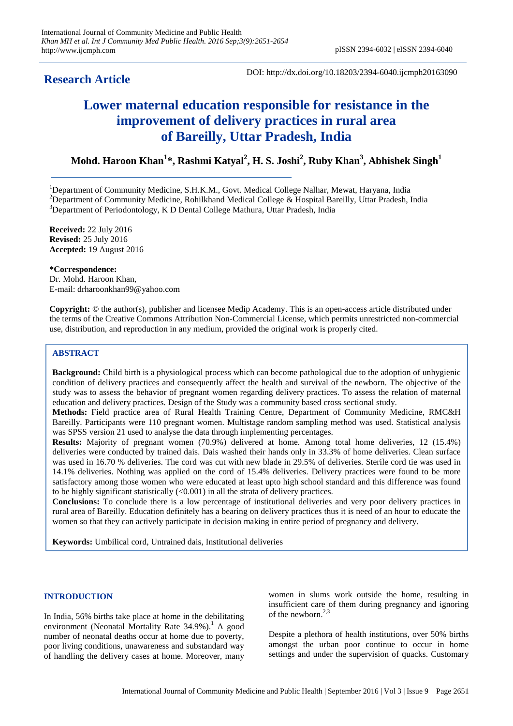## **Research Article**

DOI: http://dx.doi.org/10.18203/2394-6040.ijcmph20163090

# **Lower maternal education responsible for resistance in the improvement of delivery practices in rural area of Bareilly, Uttar Pradesh, India**

**Mohd. Haroon Khan<sup>1</sup> \*, Rashmi Katyal<sup>2</sup> , H. S. Joshi<sup>2</sup> , Ruby Khan<sup>3</sup> , Abhishek Singh<sup>1</sup>**

<sup>1</sup>Department of Community Medicine, S.H.K.M., Govt. Medical College Nalhar, Mewat, Haryana, India <sup>2</sup>Department of Community Medicine, Rohilkhand Medical College & Hospital Bareilly, Uttar Pradesh, India <sup>3</sup>Department of Periodontology, K D Dental College Mathura, Uttar Pradesh, India

**Received:** 22 July 2016 **Revised:** 25 July 2016 **Accepted:** 19 August 2016

**\*Correspondence:** Dr. Mohd. Haroon Khan, E-mail: drharoonkhan99@yahoo.com

**Copyright:** © the author(s), publisher and licensee Medip Academy. This is an open-access article distributed under the terms of the Creative Commons Attribution Non-Commercial License, which permits unrestricted non-commercial use, distribution, and reproduction in any medium, provided the original work is properly cited.

### **ABSTRACT**

**Background:** Child birth is a physiological process which can become pathological due to the adoption of unhygienic condition of delivery practices and consequently affect the health and survival of the newborn. The objective of the study was to assess the behavior of pregnant women regarding delivery practices. To assess the relation of maternal education and delivery practices. Design of the Study was a community based cross sectional study.

**Methods:** Field practice area of Rural Health Training Centre, Department of Community Medicine, RMC&H Bareilly. Participants were 110 pregnant women. Multistage random sampling method was used. Statistical analysis was SPSS version 21 used to analyse the data through implementing percentages.

**Results:** Majority of pregnant women (70.9%) delivered at home. Among total home deliveries, 12 (15.4%) deliveries were conducted by trained dais. Dais washed their hands only in 33.3% of home deliveries. Clean surface was used in 16.70 % deliveries. The cord was cut with new blade in 29.5% of deliveries. Sterile cord tie was used in 14.1% deliveries. Nothing was applied on the cord of 15.4% deliveries. Delivery practices were found to be more satisfactory among those women who were educated at least upto high school standard and this difference was found to be highly significant statistically  $(<0.001$ ) in all the strata of delivery practices.

**Conclusions:** To conclude there is a low percentage of institutional deliveries and very poor delivery practices in rural area of Bareilly. Education definitely has a bearing on delivery practices thus it is need of an hour to educate the women so that they can actively participate in decision making in entire period of pregnancy and delivery.

**Keywords:** Umbilical cord, Untrained dais, Institutional deliveries

#### **INTRODUCTION**

In India, 56% births take place at home in the debilitating environment (Neonatal Mortality Rate  $34.9\%$ ).<sup>1</sup> A good number of neonatal deaths occur at home due to poverty, poor living conditions, unawareness and substandard way of handling the delivery cases at home. Moreover, many women in slums work outside the home, resulting in insufficient care of them during pregnancy and ignoring of the newborn.<sup>2,3</sup>

Despite a plethora of health institutions, over 50% births amongst the urban poor continue to occur in home settings and under the supervision of quacks. Customary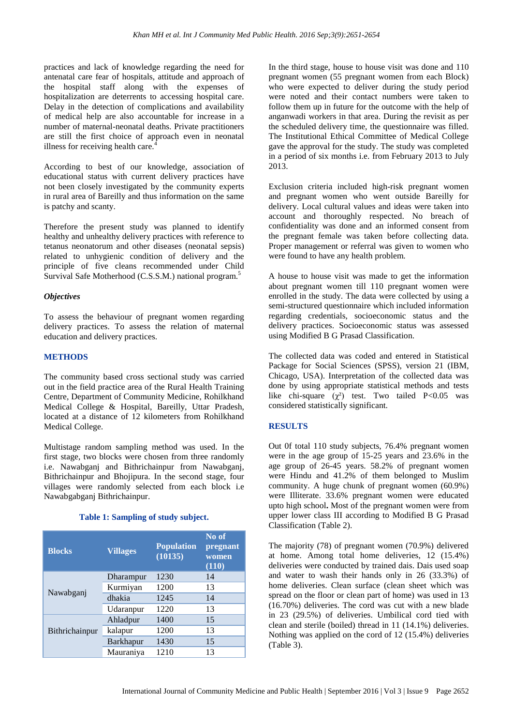practices and lack of knowledge regarding the need for antenatal care fear of hospitals, attitude and approach of the hospital staff along with the expenses of hospitalization are deterrents to accessing hospital care. Delay in the detection of complications and availability of medical help are also accountable for increase in a number of maternal-neonatal deaths. Private practitioners are still the first choice of approach even in neonatal illness for receiving health care.<sup>4</sup>

According to best of our knowledge, association of educational status with current delivery practices have not been closely investigated by the community experts in rural area of Bareilly and thus information on the same is patchy and scanty.

Therefore the present study was planned to identify healthy and unhealthy delivery practices with reference to tetanus neonatorum and other diseases (neonatal sepsis) related to unhygienic condition of delivery and the principle of five cleans recommended under Child Survival Safe Motherhood (C.S.S.M.) national program.<sup>5</sup>

#### *Objectives*

To assess the behaviour of pregnant women regarding delivery practices. To assess the relation of maternal education and delivery practices.

#### **METHODS**

The community based cross sectional study was carried out in the field practice area of the Rural Health Training Centre, Department of Community Medicine, Rohilkhand Medical College & Hospital, Bareilly, Uttar Pradesh, located at a distance of 12 kilometers from Rohilkhand Medical College.

Multistage random sampling method was used. In the first stage, two blocks were chosen from three randomly i.e. Nawabganj and Bithrichainpur from Nawabganj, Bithrichainpur and Bhojipura. In the second stage, four villages were randomly selected from each block i.e Nawabgabganj Bithrichainpur.

#### **Table 1: Sampling of study subject.**

| <b>Blocks</b>  | <b>Villages</b>  | <b>Population</b><br>(10135) | No of<br>pregnant<br>women<br>(110) |
|----------------|------------------|------------------------------|-------------------------------------|
| Nawabganj      | Dharampur        | 1230                         | 14                                  |
|                | Kurmiyan         | 1200                         | 13                                  |
|                | dhakia           | 1245                         | 14                                  |
|                | Udaranpur        | 1220                         | 13                                  |
| Bithrichainpur | Ahladpur         | 1400                         | 15                                  |
|                | kalapur          | 1200                         | 13                                  |
|                | <b>Barkhapur</b> | 1430                         | 15                                  |
|                | Mauraniya        | 1210                         | 13                                  |

In the third stage, house to house visit was done and 110 pregnant women (55 pregnant women from each Block) who were expected to deliver during the study period were noted and their contact numbers were taken to follow them up in future for the outcome with the help of anganwadi workers in that area. During the revisit as per the scheduled delivery time, the questionnaire was filled. The Institutional Ethical Committee of Medical College gave the approval for the study. The study was completed in a period of six months i.e. from February 2013 to July 2013.

Exclusion criteria included high-risk pregnant women and pregnant women who went outside Bareilly for delivery. Local cultural values and ideas were taken into account and thoroughly respected. No breach of confidentiality was done and an informed consent from the pregnant female was taken before collecting data. Proper management or referral was given to women who were found to have any health problem.

A house to house visit was made to get the information about pregnant women till 110 pregnant women were enrolled in the study. The data were collected by using a semi-structured questionnaire which included information regarding credentials, socioeconomic status and the delivery practices. Socioeconomic status was assessed using Modified B G Prasad Classification.

The collected data was coded and entered in Statistical Package for Social Sciences (SPSS), version 21 (IBM, Chicago, USA). Interpretation of the collected data was done by using appropriate statistical methods and tests like chi-square  $(\chi^2)$  test. Two tailed P<0.05 was considered statistically significant.

#### **RESULTS**

Out 0f total 110 study subjects, 76.4% pregnant women were in the age group of 15-25 years and 23.6% in the age group of 26-45 years. 58.2% of pregnant women were Hindu and 41.2% of them belonged to Muslim community. A huge chunk of pregnant women (60.9%) were Illiterate. 33.6% pregnant women were educated upto high school**.** Most of the pregnant women were from upper lower class III according to Modified B G Prasad Classification (Table 2).

The majority (78) of pregnant women (70.9%) delivered at home. Among total home deliveries, 12 (15.4%) deliveries were conducted by trained dais. Dais used soap and water to wash their hands only in 26 (33.3%) of home deliveries. Clean surface (clean sheet which was spread on the floor or clean part of home) was used in 13 (16.70%) deliveries. The cord was cut with a new blade in 23 (29.5%) of deliveries. Umbilical cord tied with clean and sterile (boiled) thread in 11 (14.1%) deliveries. Nothing was applied on the cord of 12 (15.4%) deliveries (Table 3).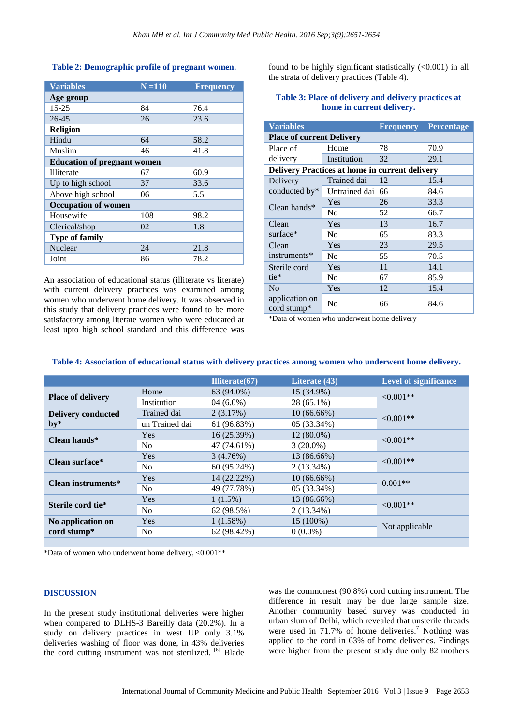#### **Table 2: Demographic profile of pregnant women.**

| <b>Variables</b>                   | $N = 110$ | <b>Frequency</b> |  |  |
|------------------------------------|-----------|------------------|--|--|
| Age group                          |           |                  |  |  |
| $15 - 25$                          | 84        | 76.4             |  |  |
| 26-45                              | 26        | 23.6             |  |  |
| <b>Religion</b>                    |           |                  |  |  |
| Hindu                              | 64        | 58.2             |  |  |
| Muslim                             | 46        | 41.8             |  |  |
| <b>Education of pregnant women</b> |           |                  |  |  |
| Illiterate                         | 67        | 60.9             |  |  |
| Up to high school                  | 37        | 33.6             |  |  |
| Above high school                  | 06        | 5.5              |  |  |
| <b>Occupation of women</b>         |           |                  |  |  |
| Housewife                          | 108       | 98.2             |  |  |
| Clerical/shop                      | 02        | 1.8              |  |  |
| <b>Type of family</b>              |           |                  |  |  |
| Nuclear                            | 24        | 21.8             |  |  |
| Joint                              | 86        | 78.2             |  |  |

An association of educational status (illiterate vs literate) with current delivery practices was examined among women who underwent home delivery. It was observed in this study that delivery practices were found to be more satisfactory among literate women who were educated at least upto high school standard and this difference was found to be highly significant statistically  $(<0.001$ ) in all the strata of delivery practices (Table 4).

| <b>Variables</b>                               |                  | <b>Frequency</b> | <b>Percentage</b> |  |  |  |
|------------------------------------------------|------------------|------------------|-------------------|--|--|--|
| <b>Place of current Delivery</b>               |                  |                  |                   |  |  |  |
| Place of                                       | Home             | 78               | 70.9              |  |  |  |
| delivery                                       | Institution      | 32               | 29.1              |  |  |  |
| Delivery Practices at home in current delivery |                  |                  |                   |  |  |  |
| Delivery<br>conducted by*                      | Trained dai      | 12               | 15.4              |  |  |  |
|                                                | Untrained dai 66 |                  | 84.6              |  |  |  |
| Clean hands $*$                                | Yes              | 26               | 33.3              |  |  |  |
|                                                | N <sub>0</sub>   | 52               | 66.7              |  |  |  |
| Clean                                          | Yes              | 13               | 16.7              |  |  |  |
| surface*                                       | No               | 65               | 83.3              |  |  |  |
| Clean                                          | Yes              | 23               | 29.5              |  |  |  |
| instruments*                                   | N <sub>0</sub>   | 55               | 70.5              |  |  |  |
| Sterile cord<br>tie*                           | Yes              | 11               | 14.1              |  |  |  |
|                                                | N <sub>0</sub>   | 67               | 85.9              |  |  |  |
| No<br>application on<br>cord stump*            | Yes              | 12               | 15.4              |  |  |  |
|                                                | N <sub>0</sub>   | 66               | 84.6              |  |  |  |

#### **Table 3: Place of delivery and delivery practices at home in current delivery.**

\*Data of women who underwent home delivery

#### **Table 4: Association of educational status with delivery practices among women who underwent home delivery.**

|                                                       |                | Illiterate $(67)$ | Literate (43) | <b>Level of significance</b> |
|-------------------------------------------------------|----------------|-------------------|---------------|------------------------------|
| <b>Place of delivery</b>                              | Home           | 63 (94.0%)        | 15 (34.9%)    | $< 0.001**$                  |
|                                                       | Institution    | $04(6.0\%)$       | $28(65.1\%)$  |                              |
| <b>Delivery conducted</b><br>$by*$                    | Trained dai    | 2(3.17%)          | $10(66.66\%)$ |                              |
|                                                       | un Trained dai | 61 (96.83%)       | 05 (33.34%)   | $< 0.001**$                  |
| Clean hands*                                          | <b>Yes</b>     | 16 (25.39%)       | $12(80.0\%)$  | $\leq 0.001**$               |
|                                                       | N <sub>o</sub> | 47 (74.61%)       | $3(20.0\%)$   |                              |
| Clean surface*                                        | Yes            | 3(4.76%)          | 13 (86.66%)   | $< 0.001**$                  |
|                                                       | No.            | 60 (95.24%)       | $2(13.34\%)$  |                              |
| Clean instruments*                                    | Yes            | 14 (22.22%)       | $10(66.66\%)$ | $0.001**$                    |
|                                                       | N <sub>0</sub> | 49 (77.78%)       | $05(33.34\%)$ |                              |
| Sterile cord tie*                                     | <b>Yes</b>     | $1(1.5\%)$        | 13 (86.66%)   | $< 0.001**$                  |
|                                                       | N <sub>o</sub> | 62 (98.5%)        | $2(13.34\%)$  |                              |
| No application on<br>$\text{cord}$ stump <sup>*</sup> | <b>Yes</b>     | 1(1.58%)          | 15 (100%)     | Not applicable               |
|                                                       | N <sub>0</sub> | 62 (98.42%)       | $0(0.0\%)$    |                              |
|                                                       |                |                   |               |                              |

\*Data of women who underwent home delivery, <0.001\*\*

#### **DISCUSSION**

In the present study institutional deliveries were higher when compared to DLHS-3 Bareilly data (20.2%). In a study on delivery practices in west UP only 3.1% deliveries washing of floor was done, in 43% deliveries the cord cutting instrument was not sterilized. <sup>[6]</sup> Blade

was the commonest (90.8%) cord cutting instrument. The difference in result may be due large sample size. Another community based survey was conducted in urban slum of Delhi, which revealed that unsterile threads were used in  $71.7\%$  of home deliveries.<sup>7</sup> Nothing was applied to the cord in 63% of home deliveries. Findings were higher from the present study due only 82 mothers